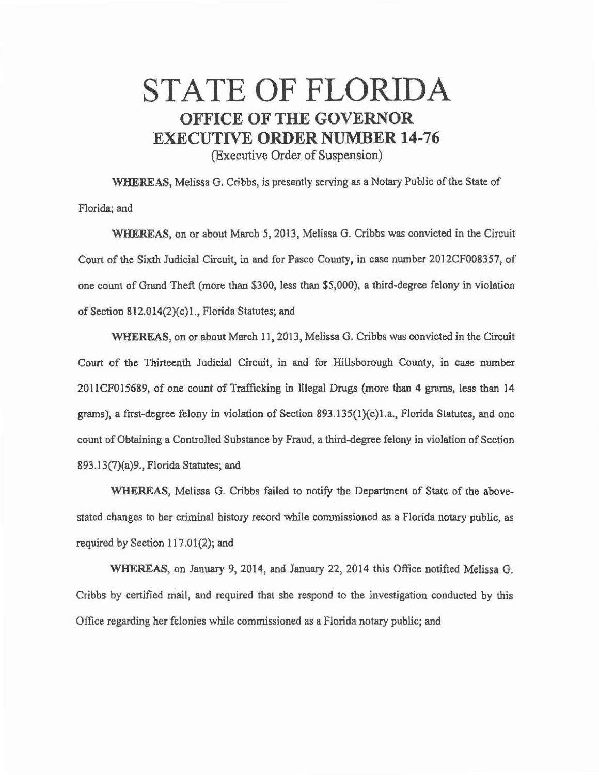## STATE OF FLORIDA **OFFICE OF THE GOVERNOR EXECUTIVE ORDER NUMBER 14-76**

(Executive Order of Suspension)

WHEREAS, Melissa G. Cribbs, is presently serving as a Notary Public of the State of Florida; and

WHEREAS, on or about March 5, 2013, Melissa G. Cribbs was convicted in the Circuit Court of the Sixth Judicial Circuit, in and for Pasco County, in case number 2012CF008357, of one count of Grand Theft (more than \$300, less than \$5,000), a third-degree felony in violation of Section 812.014(2)(c)l., Florida Statutes; and

WHEREAS, on or about March 11, 2013, Melissa G. Cribbs was convicted in the Circuit Court of the Thirteenth Judicial Circuit, in and for Hillsborough County, in case number 201 ICF015689, of one count of Trafficking in Illegal Drugs (more than 4 grams, less than 14 grams), a first-degree felony in violation of Section 893.135 $(1)(c)$ 1.a., Florida Statutes, and one count of Obtaining a Controlled Substance by Fraud, a third-degree felony in violation of Section 893.13(7)(a)9., Florida Statutes; and

WHEREAS, Melissa G. Cribbs failed to notify the Department of State of the abovestated changes to her criminal history record while commissioned as a Florida notary public, as required by Section 117.01(2); and

WHEREAS, on January 9, 2014, and January 22, 2014 this Office notified Melissa G. Cribbs by certified mail, and required that she respond to the investigation conducted by this Office regarding her felonies while commissioned as a Florida notary public; and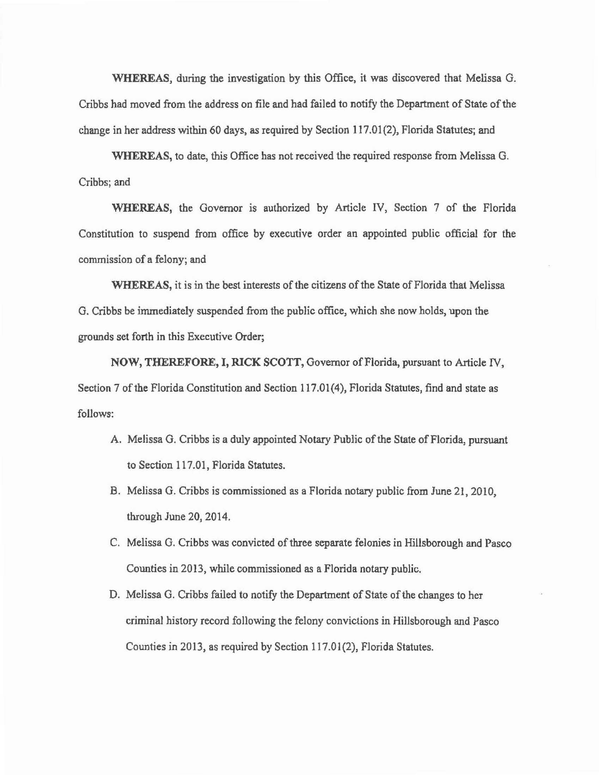WHEREAS, during the investigation by this Office, it was discovered that Melissa G. Cribbs had moved from the address on file and had failed to notify the Department of State of the change in her address within 60 days, as required by Section 117.01(2), Florida Statutes; and

WHEREAS, to date, this Office has not received the required response from Melissa G. Cribbs; and

WHEREAS, the Governor is authorized by Article IV, Section 7 of the Florida Constitution to suspend from office by executive order an appointed public official for the commission of a felony; and

WHEREAS, it is in the best interests of the citizens of the State of Florida that Melissa G. Cribbs be immediately suspended from the public office, which she now holds, upon the grounds set forth in this Executive Order;

NOW, THEREFORE, I, RICK SCOTT, Governor of Florida, pursuant to Article N, Section 7 of the Florida Constitution and Section 117.01(4), Florida Statutes, find and state as follows:

- A. Melissa G. Cribbs is a duly appointed Notary Public of the State of Florida, pursuant to Section 117.01, Florida Statutes.
- B. Melissa G. Cribbs is commissioned as a Florida notary public from June 21, 2010, through June 20, 2014.
- C. Melissa G. Cribbs was convicted of three separate felonies in Hillsborough and Pasco Counties in 2013, while commissioned as a Florida notary public.
- D. Melissa G. Cribbs failed to notify the Department of State of the changes to her criminal history record following the felony convictions in Hillsborough and Pasco Counties in 2013, as required by Section 117.01(2), Florida Statutes.